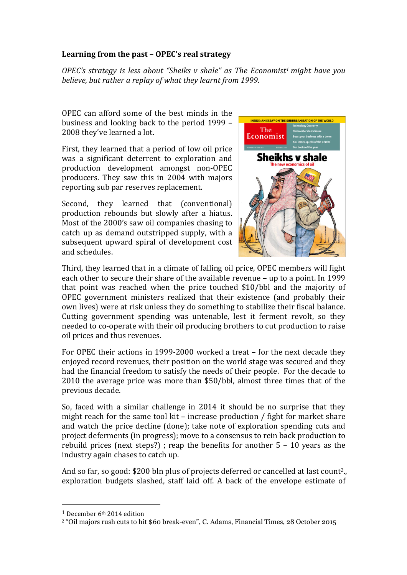# Learning from the past – OPEC's real strategy

*OPEC's* strategy is less about "Sheiks v shale" as The Economist<sup>1</sup> might have you *believe, but rather a replay of what they learnt from 1999.* 

OPEC can afford some of the best minds in the business and looking back to the period 1999 – 2008 they've learned a lot.

First, they learned that a period of low oil price was a significant deterrent to exploration and production development amongst non-OPEC producers. They saw this in 2004 with majors reporting sub par reserves replacement.

Second, they learned that (conventional) production rebounds but slowly after a hiatus. Most of the 2000's saw oil companies chasing to catch up as demand outstripped supply, with a subsequent upward spiral of development cost and schedules.



Third, they learned that in a climate of falling oil price, OPEC members will fight each other to secure their share of the available revenue - up to a point. In 1999 that point was reached when the price touched  $$10/bbl$  and the majority of OPEC government ministers realized that their existence (and probably their own lives) were at risk unless they do something to stabilize their fiscal balance. Cutting government spending was untenable, lest it ferment revolt, so they needed to co-operate with their oil producing brothers to cut production to raise oil prices and thus revenues.

For OPEC their actions in 1999-2000 worked a treat – for the next decade they enjoyed record revenues, their position on the world stage was secured and they had the financial freedom to satisfy the needs of their people. For the decade to 2010 the average price was more than \$50/bbl, almost three times that of the previous decade.

So, faced with a similar challenge in  $2014$  it should be no surprise that they might reach for the same tool kit – increase production  $/$  fight for market share and watch the price decline (done); take note of exploration spending cuts and project deferments (in progress); move to a consensus to rein back production to rebuild prices (next steps?); reap the benefits for another  $5 - 10$  years as the industry again chases to catch up.

And so far, so good:  $$200$  bln plus of projects deferred or cancelled at last count<sup>2</sup>. exploration budgets slashed, staff laid off. A back of the envelope estimate of

 

 $1$  December 6<sup>th</sup> 2014 edition

<sup>2</sup> "Oil majors rush cuts to hit \$60 break-even", C. Adams, Financial Times, 28 October 2015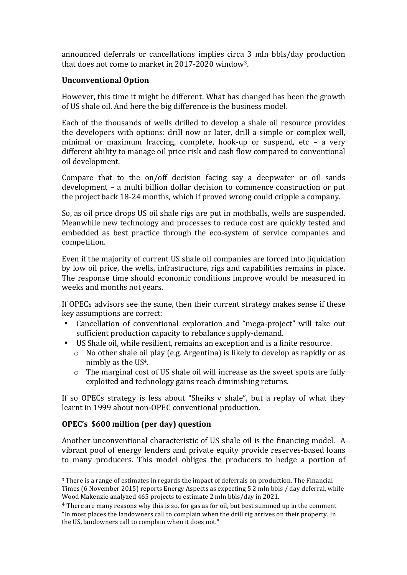announced deferrals or cancellations implies circa 3 mln bbls/day production that does not come to market in  $2017-2020$  window<sup>3</sup>.

# **Unconventional Option**

However, this time it might be different. What has changed has been the growth of US shale oil. And here the big difference is the business model.

Each of the thousands of wells drilled to develop a shale oil resource provides the developers with options: drill now or later, drill a simple or complex well, minimal or maximum fraccing, complete, hook-up or suspend, etc – a very different ability to manage oil price risk and cash flow compared to conventional oil development.

Compare that to the on/off decision facing say a deepwater or oil sands development – a multi billion dollar decision to commence construction or put the project back 18-24 months, which if proved wrong could cripple a company.

So, as oil price drops US oil shale rigs are put in mothballs, wells are suspended. Meanwhile new technology and processes to reduce cost are quickly tested and embedded as best practice through the eco-system of service companies and competition.

Even if the majority of current US shale oil companies are forced into liquidation by low oil price, the wells, infrastructure, rigs and capabilities remains in place. The response time should economic conditions improve would be measured in weeks and months not years.

If OPECs advisors see the same, then their current strategy makes sense if these key assumptions are correct:

- Cancellation of conventional exploration and "mega-project" will take out sufficient production capacity to rebalance supply-demand.
- US Shale oil, while resilient, remains an exception and is a finite resource.
	- $\circ$  No other shale oil play (e.g. Argentina) is likely to develop as rapidly or as nimbly as the  $US<sup>4</sup>$ .
	- $\circ$  The marginal cost of US shale oil will increase as the sweet spots are fully exploited and technology gains reach diminishing returns.

If so OPECs strategy is less about "Sheiks  $v$  shale", but a replay of what they learnt in 1999 about non-OPEC conventional production.

# **OPEC's \$600 million (per day) question**

 

Another unconventional characteristic of US shale oil is the financing model. A vibrant pool of energy lenders and private equity provide reserves-based loans to many producers. This model obliges the producers to hedge a portion of

 $3$  There is a range of estimates in regards the impact of deferrals on production. The Financial Times (6 November 2015) reports Energy Aspects as expecting 5.2 mln bbls / day deferral, while Wood Makenzie analyzed 465 projects to estimate 2 mln bbls/day in 2021.

 $4$  There are many reasons why this is so, for gas as for oil, but best summed up in the comment "In most places the landowners call to complain when the drill rig arrives on their property. In the US, landowners call to complain when it does not."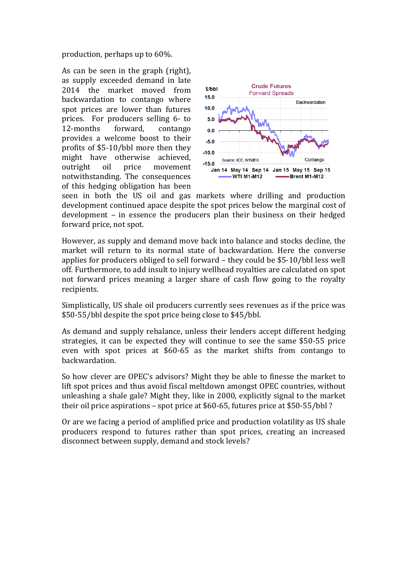production, perhaps up to  $60\%$ .

As can be seen in the graph (right), as supply exceeded demand in late 2014 the market moved from backwardation to contango where spot prices are lower than futures prices. For producers selling 6- to 12-months forward, contango provides a welcome boost to their profits of  $$5-10/bbl$  more then they might have otherwise achieved, outright oil price movement notwithstanding. The consequences of this hedging obligation has been



seen in both the US oil and gas markets where drilling and production development continued apace despite the spot prices below the marginal cost of development – in essence the producers plan their business on their hedged forward price, not spot.

However, as supply and demand move back into balance and stocks decline, the market will return to its normal state of backwardation. Here the converse applies for producers obliged to sell forward  $-$  they could be \$5-10/bbl less well off. Furthermore, to add insult to injury wellhead royalties are calculated on spot not forward prices meaning a larger share of cash flow going to the royalty recipients. 

Simplistically, US shale oil producers currently sees revenues as if the price was \$50-55/bbl despite the spot price being close to \$45/bbl.

As demand and supply rebalance, unless their lenders accept different hedging strategies, it can be expected they will continue to see the same \$50-55 price even with spot prices at \$60-65 as the market shifts from contango to backwardation.

So how clever are OPEC's advisors? Might they be able to finesse the market to lift spot prices and thus avoid fiscal meltdown amongst OPEC countries, without unleashing a shale gale? Might they, like in 2000, explicitly signal to the market their oil price aspirations – spot price at \$60-65, futures price at \$50-55/bbl?

Or are we facing a period of amplified price and production volatility as US shale producers respond to futures rather than spot prices, creating an increased disconnect between supply, demand and stock levels?